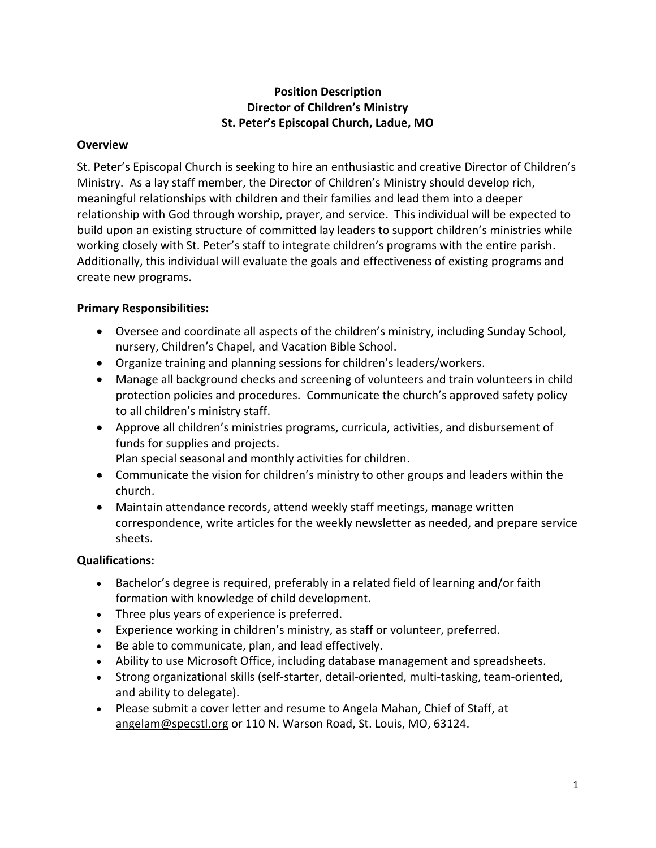# **Position Description Director of Children's Ministry St. Peter's Episcopal Church, Ladue, MO**

## **Overview**

St. Peter's Episcopal Church is seeking to hire an enthusiastic and creative Director of Children's Ministry. As a lay staff member, the Director of Children's Ministry should develop rich, meaningful relationships with children and their families and lead them into a deeper relationship with God through worship, prayer, and service. This individual will be expected to build upon an existing structure of committed lay leaders to support children's ministries while working closely with St. Peter's staff to integrate children's programs with the entire parish. Additionally, this individual will evaluate the goals and effectiveness of existing programs and create new programs.

# **Primary Responsibilities:**

- Oversee and coordinate all aspects of the children's ministry, including Sunday School, nursery, Children's Chapel, and Vacation Bible School.
- Organize training and planning sessions for children's leaders/workers.
- Manage all background checks and screening of volunteers and train volunteers in child protection policies and procedures. Communicate the church's approved safety policy to all children's ministry staff.
- Approve all children's ministries programs, curricula, activities, and disbursement of funds for supplies and projects.
	- Plan special seasonal and monthly activities for children.
- Communicate the vision for children's ministry to other groups and leaders within the church.
- Maintain attendance records, attend weekly staff meetings, manage written correspondence, write articles for the weekly newsletter as needed, and prepare service sheets.

# **Qualifications:**

- Bachelor's degree is required, preferably in a related field of learning and/or faith formation with knowledge of child development.
- Three plus years of experience is preferred.
- Experience working in children's ministry, as staff or volunteer, preferred.
- Be able to communicate, plan, and lead effectively.
- Ability to use Microsoft Office, including database management and spreadsheets.
- Strong organizational skills (self-starter, detail-oriented, multi-tasking, team-oriented, and ability to delegate).
- Please submit a cover letter and resume to Angela Mahan, Chief of Staff, at [angelam@specstl.org](mailto:angelam@specstl.org) or 110 N. Warson Road, St. Louis, MO, 63124.